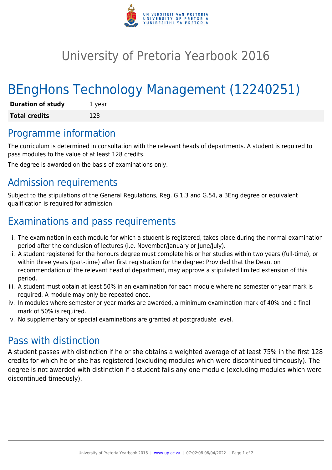

## University of Pretoria Yearbook 2016

# BEngHons Technology Management (12240251)

| <b>Duration of study</b> | 1 year |
|--------------------------|--------|
| <b>Total credits</b>     | 128    |

#### Programme information

The curriculum is determined in consultation with the relevant heads of departments. A student is required to pass modules to the value of at least 128 credits.

The degree is awarded on the basis of examinations only.

## Admission requirements

Subject to the stipulations of the General Regulations, Reg. G.1.3 and G.54, a BEng degree or equivalent qualification is required for admission.

## Examinations and pass requirements

- i. The examination in each module for which a student is registered, takes place during the normal examination period after the conclusion of lectures (i.e. November/January or June/July).
- ii. A student registered for the honours degree must complete his or her studies within two years (full-time), or within three years (part-time) after first registration for the degree: Provided that the Dean, on recommendation of the relevant head of department, may approve a stipulated limited extension of this period.
- iii. A student must obtain at least 50% in an examination for each module where no semester or year mark is required. A module may only be repeated once.
- iv. In modules where semester or year marks are awarded, a minimum examination mark of 40% and a final mark of 50% is required.
- v. No supplementary or special examinations are granted at postgraduate level.

### Pass with distinction

A student passes with distinction if he or she obtains a weighted average of at least 75% in the first 128 credits for which he or she has registered (excluding modules which were discontinued timeously). The degree is not awarded with distinction if a student fails any one module (excluding modules which were discontinued timeously).